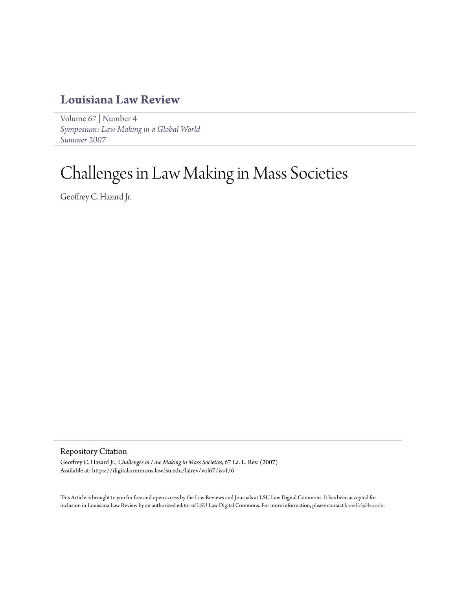## **[Louisiana Law Review](https://digitalcommons.law.lsu.edu/lalrev)**

[Volume 67](https://digitalcommons.law.lsu.edu/lalrev/vol67) | [Number 4](https://digitalcommons.law.lsu.edu/lalrev/vol67/iss4) *[Symposium: Law Making in a Global World](https://digitalcommons.law.lsu.edu/lalrev/vol67/iss4) [Summer 2007](https://digitalcommons.law.lsu.edu/lalrev/vol67/iss4)*

# Challenges in Law Making in Mass Societies

Geoffrey C. Hazard Jr.

Repository Citation

Geoffrey C. Hazard Jr., *Challenges in Law Making in Mass Societies*, 67 La. L. Rev. (2007) Available at: https://digitalcommons.law.lsu.edu/lalrev/vol67/iss4/6

This Article is brought to you for free and open access by the Law Reviews and Journals at LSU Law Digital Commons. It has been accepted for inclusion in Louisiana Law Review by an authorized editor of LSU Law Digital Commons. For more information, please contact [kreed25@lsu.edu](mailto:kreed25@lsu.edu).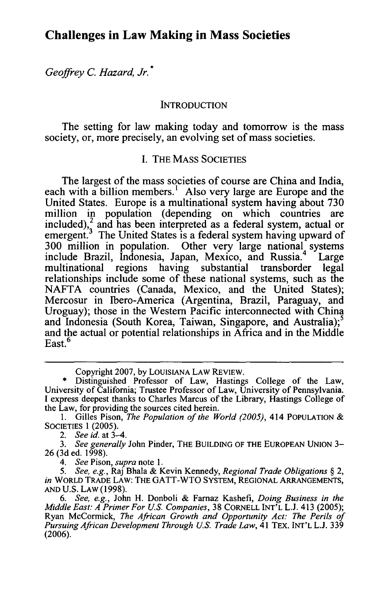### **Challenges in Law Making in Mass Societies**

*Geoffrey C. Hazard, Jr.* **\***

#### **INTRODUCTION**

The setting for law making today and tomorrow is the mass society, or, more precisely, an evolving set of mass societies.

#### **I.** THE **MASS SOCIETIES**

The largest of the mass societies of course are China and India, each with a billion members.' Also very large are Europe and the United States. Europe is a multinational system having about **730** million in population (depending on which countries are  $\text{inded}$ ),  $\frac{2}{3}$  and has been interpreted as a federal system, actual or emergent.<sup>3</sup> The United States is a federal system having upward of **300** million in population. Other very large national systems include Brazil, Indonesia, Japan, Mexico, and Russia.<sup>4</sup> Large multinational regions having substantial transborder legal relationships include some of these national systems, such as the **NAFTA** countries (Canada, Mexico, and the United States); Mercosur in Ibero-America (Argentina, Brazil, Paraguay, and Uroguay); those in the Western Pacific interconnected with China and Indonesia (South Korea, Taiwan, Singapore, and Australia);<sup>5</sup> and the actual or potential relationships in Africa and in the Middle 6 East.<sup>6</sup>

**1.** Gilles Pison, *The Population of the World (2005),* 414 **POPULATION &** SOCIETIES 1 (2005).

*2. See id.* at 3-4.

*3. See generally* John Pinder, THE **BUILDING** OF THE **EUROPEAN** UNION 3- 26 (3d ed. 1998).

*4. See* Pison, *supra* note 1.

*5. See, e.g.,* Raj Bhala & Kevin Kennedy, *Regional Trade Obligations §* 2, *in* WORLD TRADE LAW: THE GATT-WTO SYSTEM, **REGIONAL ARRANGEMENTS, AND** U.S. LAW (1998).

*6. See, e.g.,* John H. Donboli & Farnaz Kashefi, *Doing Business in the Middle East: A Primer For US. Companies,* 38 **CORNELL INT'L** L.J. 413 (2005); Ryan McCormick, *The African Growth and Opportunity Act: The Perils of Pursuing African Development Through US. Trade Law,* 41 TEX. INT'L L.J. 339 (2006).

Copyright **2007, by** LOUISIANA LAW **REVIEW.**

**<sup>•</sup>** Distinguished Professor of Law, Hastings College of the Law, University of California; Trustee Professor of Law, University of Pennsylvania. **I** express deepest thanks to Charles Marcus of the Library, Hastings College of the Law, for providing the sources cited herein.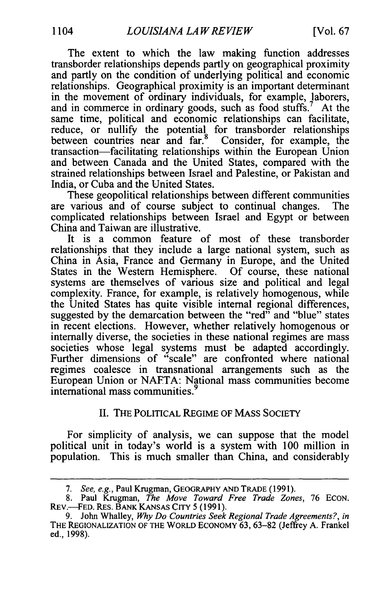The extent to which the law making function addresses transborder relationships depends partly on geographical proximity and partly on the condition of underlying political and economic relationships. Geographical proximity is an important determinant in the movement of ordinary individuals, for example, laborers, and in commerce in ordinary goods, such as food stuffs.<sup>7</sup> At the same time, political and economic relationships can facilitate, reduce, or nullify the potential for transborder relationships between countries near and far.<sup>8</sup> Consider, for example, the transaction-facilitating relationships within the European Union and between Canada and the United States, compared with the strained relationships between Israel and Palestine, or Pakistan and India, or Cuba and the United States.

These geopolitical relationships between different communities are various and of course subject to continual changes. The complicated relationships between Israel and Egypt or between China and Taiwan are illustrative.

It is a common feature of most of these transborder relationships that they include a large national system, such as China in Asia, France and Germany in Europe, and the United States in the Western Hemisphere. Of course, these national systems are themselves of various size and political and legal complexity. France, for example, is relatively homogenous, while the United States has quite visible internal regional differences, suggested by the demarcation between the "red" and "blue" states in recent elections. However, whether relatively homogenous or internally diverse, the societies in these national regimes are mass societies whose legal systems must be adapted accordingly. Further dimensions of "scale" are confronted where national regimes coalesce in transnational arrangements such as the European Union or NAFTA: National mass communities become international mass communities.

#### II. THE POLITICAL REGIME OF MASS SOCIETY

For simplicity of analysis, we can suppose that the model political unit in today's world is a system with 100 million in population. This is much smaller than China, and considerably

*<sup>7.</sup> See, e.g.,* Paul Krugman, GEOGRAPHY AND TRADE (1991).

<sup>8.</sup> Paul Krugman, *The Move Toward Free Trade Zones,* 76 ECON. REV.-FED. RES. BANK KANSAS CITY 5 (1991).

<sup>9.</sup> John Whalley, *Why Do Countries Seek Regional Trade Agreements?, in* THE REGIONALIZATION OF THE WORLD ECONOMY 63, 63-82 (Jeffrey A. Frankel ed., 1998).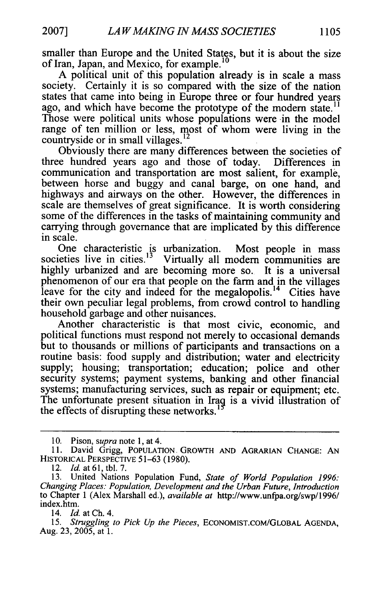smaller than Europe and the United States, but it is about the size of Iran, Japan, and Mexico, for example.

A political unit of this population already is in scale a mass society. Certainly it is so compared with the size of the nation states that came into being in Europe three or four hundred years ago, and which have become the prototype of the modern state.<sup>11</sup> Those were political units whose populations were in the model range of ten million or less, most of whom were living in the countryside or in small villages.<sup>12</sup>

Obviously there are many differences between the societies of three hundred years ago and those of today. Differences in communication and transportation are most salient, for example, between horse and buggy and canal barge, on one hand, and highways and airways on the other. However, the differences in scale are themselves of great significance. It is worth considering some of the differences in the tasks of maintaining community and carrying through governance that are implicated by this difference in scale.

One characteristic is urbanization. Most people in mass societies live in cities.<sup>13</sup> Virtually all modern communities are highly urbanized and are becoming more so. It is a universal phenomenon of our era that people on the farm and in the villages leave for the city and indeed for the megalopolis.<sup>14</sup> Cities have their own peculiar legal problems, from crowd control to handling household garbage and other nuisances.

Another characteristic is that most civic, economic, and political functions must respond not merely to occasional demands but to thousands or millions of participants and transactions on a routine basis: food supply and distribution; water and electricity supply; housing; transportation; education; police and other security systems; payment systems, banking and other financial systems; manufacturing services, such as repair or equipment; etc. The unfortunate present situation in Iraq is a vivid illustration of the effects of disrupting these networks.<sup>1</sup>

<sup>10.</sup> Pison, *supra* note 1, at 4.

<sup>11.</sup> David Grigg, **POPULATION.** GROWTH **AND** AGRARIAN CHANGE: AN HISTORICAL PERSPECTIVE 51-63 (1980).

<sup>12.</sup> *Id.* at **61,** tbl. 7.

<sup>13.</sup> United Nations Population Fund, *State of World Population 1996: Changing Places: Population, Development and the Urban Future, Introduction* to Chapter 1 (Alex Marshall ed.), *available at* http://www.unfpa.org/swp/1996/ index.htm.

*<sup>14.</sup> Id.* at **Ch.** 4.

*<sup>15.</sup> Struggling to Pick Up the Pieces,* ECONOMIST.COM/GLOBAL **AGENDA,** Aug. 23, 2005, at 1.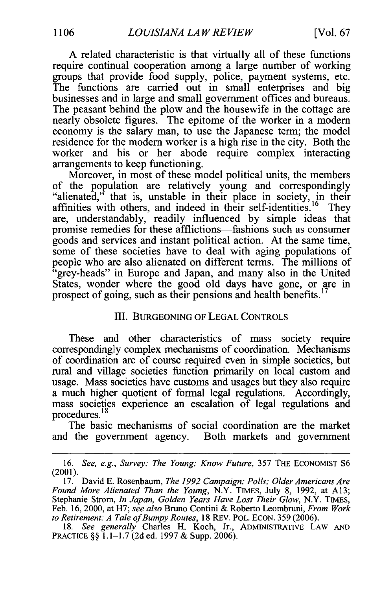A related characteristic is that virtually all of these functions require continual cooperation among a large number of working groups that provide food supply, police, payment systems, etc. The functions are carried out in small enterprises and big businesses and in large and small government offices and bureaus. The peasant behind the plow and the housewife in the cottage are nearly obsolete figures. The epitome of the worker in a modem economy is the salary man, to use the Japanese term; the model residence for the modem worker is a high rise in the city. Both the worker and his or her abode require complex interacting arrangements to keep functioning.

Moreover, in most of these model political units, the members of the population are relatively young and correspondingly "alienated," that is, unstable in their place in society, in their affinities with others, and indeed in their self-identities.<sup>16</sup> They are, understandably, readily influenced by simple ideas that promise remedies for these afflictions-fashions such as consumer goods and services and instant political action. At the same time, some of these societies have to deal with aging populations of people who are also alienated on different terms. The millions of "grey-heads" in Europe and Japan, and many also in the United States, wonder where the good old days have gone, or are in prospect of going, such as their pensions and health benefits.<sup>17</sup>

#### III. BURGEONING OF LEGAL CONTROLS

These and other characteristics of mass society require correspondingly complex mechanisms of coordination. Mechanisms of coordination are of course required even in simple societies, but rural and village societies function primarily on local custom and usage. Mass societies have customs and usages but they also require a much higher quotient of formal legal regulations. Accordingly, mass societies experience an escalation of legal regulations and procedures. **<sup>18</sup>**

The basic mechanisms of social coordination are the market and the government agency. Both markets and government

<sup>16.</sup> *See, e.g., Survey: The Young: Know Future,* 357 THE ECONOMIST **S6** (2001).

<sup>17.</sup> David E. Rosenbaum, *The 1992 Campaign: Polls; Older Americans Are Found More Alienated Than the Young,* N.Y. TIMES, July 8, 1992, at A13; Stephanie Strom, *In Japan, Golden Years Have Lost Their Glow,* N.Y. TIMES, Feb. 16, 2000, at H7; *see also* Bruno Contini & Roberto Leombruni, *From Work to Retirement: A Tale of Bumpy Routes,* 18 REv. POL. ECoN. 359 (2006).

<sup>18.</sup> *See generally* Charles H. Koch, Jr., ADMINISTRATIVE LAW **AND** PRACTICE §§ **1.1-** 1.7 (2d ed. 1997 & Supp. 2006).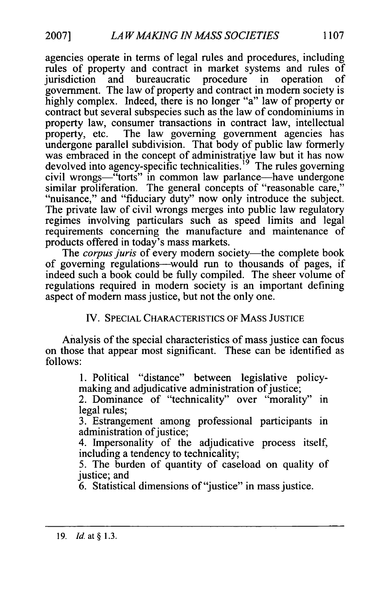agencies operate in terms of legal rules and procedures, including rules of property and contract in market systems and rules of jurisdiction and bureaucratic procedure in operation of government. The law of property and contract in modem society is highly complex. Indeed, there is no longer "a" law of property or contract but several subspecies such as the law of condominiums in property law, consumer transactions in contract law, intellectual property, etc. The law governing government agencies has undergone parallel subdivision. That body of public law formerly was embraced in the concept of administrative law but it has now devolved into agency-specific technicalities.<sup>19</sup> The rules governing civil wrongs—"torts" in common law parlance—have undergone similar proliferation. The general concepts of "reasonable care," "nuisance," and "fiduciary duty" now only introduce the subject. The private law of civil wrongs merges into public law regulatory regimes involving particulars such as speed limits and legal requirements concerning the manufacture and maintenance of products offered in today's mass markets.

The *corpus juris* of every modern society—the complete book of governing regulations-would run to thousands of pages, if indeed such a book could be fully compiled. The sheer volume of regulations required in modern society is an important defining aspect of modern mass justice, but not the only one.

IV. SPECIAL CHARACTERISTICS OF MASS JUSTICE

Analysis of the special characteristics of mass justice can focus on those that appear most significant. These can be identified as follows:

> 1. Political "distance" between legislative policymaking and adjudicative administration of justice;

> 2. Dominance of "technicality" over "morality" in legal rules;

> 3. Estrangement among professional participants in administration of justice;

> 4. Impersonality of the adjudicative process itself, including a tendency to technicality;

> 5. The burden of quantity of caseload on quality of justice; and

6. Statistical dimensions of "justice" in mass justice.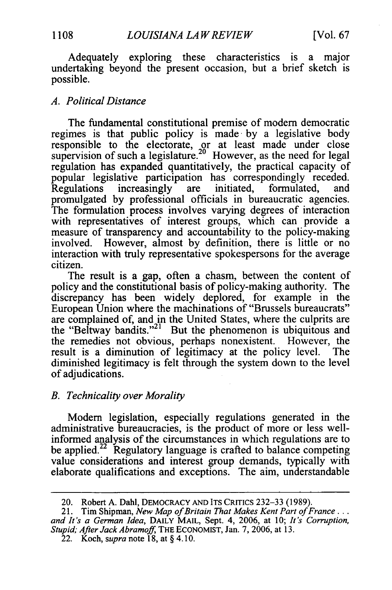Adequately exploring these characteristics is a major undertaking beyond the present occasion, but a brief sketch is possible.

#### *A. Political Distance*

The fundamental constitutional premise of modem democratic regimes is that public policy is made. by a legislative body responsible to the electorate, or at least made under close supervision of such a legislature.<sup>20</sup> However, as the need for legal regulation has expanded quantitatively, the practical capacity of popular legislative participation has correspondingly receded.<br>Regulations increasingly are initiated, formulated, and Regulations increasingly are initiated, formulated, and promulgated by professional officials in bureaucratic agencies. The formulation process involves varying degrees of interaction with representatives of interest groups, which can provide a measure of transparency and accountability to the policy-making involved. However, almost by definition, there is little or no interaction with truly representative spokespersons for the average citizen.

The result is a gap, often a chasm, between the content of policy and the constitutional basis of policy-making authority. The discrepancy has been widely deplored, for example in the European Union where the machinations of "Brussels bureaucrats" are complained of, and in the United States, where the culprits are the "Beltway bandits."<sup>21</sup> But the phenomenon is ubiquitous and the remedies not obvious, perhaps nonexistent. However, the result is a diminution of legitimacy at the policy level. The diminished legitimacy is felt through the system down to the level of adjudications.

#### *B. Technicality over Morality*

Modem legislation, especially regulations generated in the administrative bureaucracies, is the product of more or less wellinformed analysis of the circumstances in which regulations are to be applied.<sup>22</sup> Regulatory language is crafted to balance competing value considerations and interest group demands, typically with elaborate qualifications and exceptions. The aim, understandable

<sup>20.</sup> Robert A. Dahl, DEMOCRACY AND ITS CRITICS 232-33 (1989).

<sup>21.</sup> Tim Shipman, *New Map of Britain That Makes Kent Part of France... and It's a German Idea,* DAILY MAIL, Sept. 4, 2006, at 10; *It's Corruption, Stupid; After Jack Abramoff,* THE ECONOMIST, Jan. 7, 2006, at 13.

<sup>22.</sup> Koch, *supra* note 18, at § 4.10.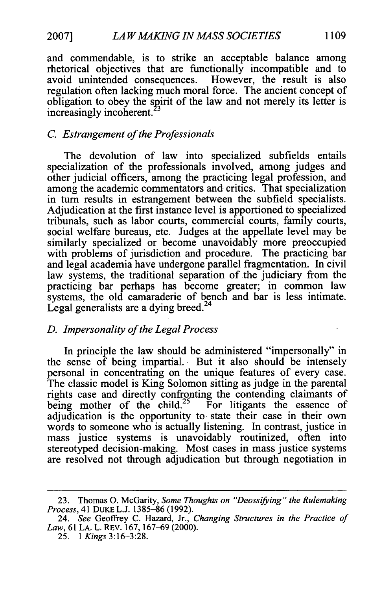and commendable, is to strike an acceptable balance among rhetorical objectives that are functionally incompatible and to avoid unintended consequences. However, the result is also regulation often lacking much moral force. The ancient concept of obligation to obey the spirit of the law and not merely its letter is increasingly incoherent.<sup>23</sup>

#### *C. Estrangement of the Professionals*

The devolution of law into specialized subfields entails specialization of the professionals involved, among judges and other judicial officers, among the practicing legal profession, and among the academic commentators and critics. That specialization in turn results in estrangement between the subfield specialists. Adjudication at the first instance level is apportioned to specialized tribunals, such as labor courts, commercial courts, family courts, social welfare bureaus, etc. Judges at the appellate level may be similarly specialized or become unavoidably more preoccupied with problems of jurisdiction and procedure. The practicing bar and legal academia have undergone parallel fragmentation. In civil law systems, the traditional separation of the judiciary from the practicing bar perhaps has become greater; in common law systems, the old camaraderie of bench and bar is less intimate. Legal generalists are a dying breed.<sup>24</sup>

#### *D. Impersonality of the Legal Process*

In principle the law should be administered "impersonally" in the sense of being impartial. But it also should be intensely personal in concentrating on the unique features of every case. The classic model is King Solomon sitting as judge in the parental rights case and directly confronting the contending claimants of being mother of the child.<sup>25</sup> For litigants the essence of adjudication is the opportunity to. state their case in their own words to someone who is actually listening. In contrast, justice in mass justice systems is unavoidably routinized, often into stereotyped decision-making. Most cases in mass justice systems are resolved not through adjudication but through negotiation in

<sup>23.</sup> Thomas **0.** McGarity, *Some Thoughts on "Deossifying'" the Rulemaking Process,* 41 DUKE L.J. 1385-86 (1992).

<sup>24.</sup> *See* Geoffrey C. Hazard, Jr., *Changing Structures in the Practice of Law,* 61 LA. L. REV. 167, 167-69 (2000).

<sup>25. 1</sup> *Kings* 3:16-3:28.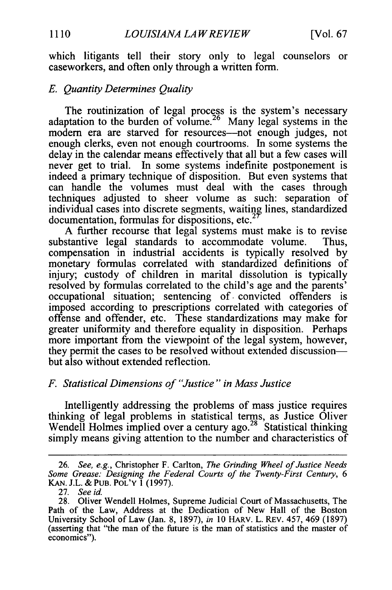which litigants tell their story only to legal counselors or caseworkers, and often only through a written form.

#### *E. Quantity Determines Quality*

The routinization of legal process is the system's necessary adaptation to the burden of volume.26 Many legal systems in the modem era are starved for resources-not enough judges, not enough clerks, even not enough courtrooms. In some systems the delay in the calendar means effectively that all but a few cases will never get to trial. In some systems indefinite postponement is indeed a primary technique of disposition. But even systems that can handle the volumes must deal with the cases through techniques adjusted to sheer volume as such: separation of individual cases into discrete segments, waiting lines, standardized documentation, formulas for dispositions, etc.

A further recourse that legal systems must make is to revise substantive legal standards to accommodate volume. Thus, compensation in industrial accidents is typically resolved by monetary formulas correlated with standardized definitions of injury; custody of children in marital dissolution is typically resolved by formulas correlated to the child's age and the parents' occupational situation; sentencing **of.** convicted offenders is imposed according to prescriptions correlated with categories of offense and offender, etc. These standardizations may make for greater uniformity and therefore equality in disposition. Perhaps more important from the viewpoint of the legal system, however, they permit the cases to be resolved without extended discussionbut also without extended reflection.

#### *F. Statistical Dimensions of "Justice " in Mass Justice*

Intelligently addressing the problems of mass justice requires thinking of legal problems in statistical terms, as Justice Oliver Wendell Holmes implied over a century ago.<sup>28</sup> Statistical thinking simply means giving attention to the number and characteristics of

<sup>26.</sup> *See, e.g.,* Christopher F. Carlton, *The Grinding Wheel of Justice Needs Some Grease: Designing the Federal Courts of the Twenty-First Century, 6* KAN. J.L. & PUB. POL'Y 1 (1997).

<sup>27.</sup> *See id.*

<sup>28.</sup> Oliver Wendell Holmes, Supreme Judicial Court of Massachusetts, The Path of the Law, Address at the Dedication of New Hall of the Boston University School of Law (Jan. 8, 1897), *in* 10 HARv. L. REv. 457, 469 (1897) (asserting that "the man of the future is the man of statistics and the master of economics").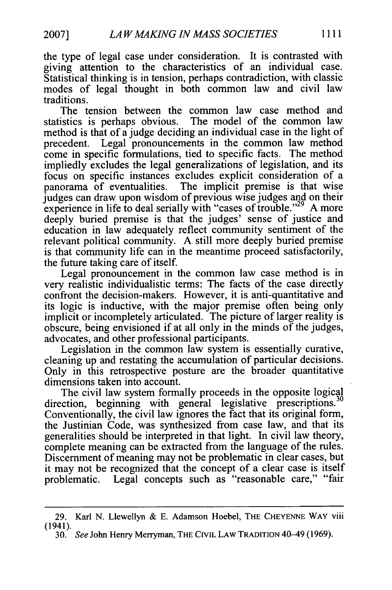the type of legal case under consideration. It is contrasted with giving attention to the characteristics of an individual case. Statistical thinking is in tension, perhaps contradiction, with classic modes of legal thought in both common law and civil law traditions.

The tension between the common law case method and statistics is perhaps obvious. The model of the common law method is that of a judge deciding an individual case in the light of precedent. Legal pronouncements in the common law method come in specific formulations, tied to specific facts. The method impliedly excludes the legal generalizations of legislation, and its focus on specific instances excludes explicit consideration of a panorama of eventualities. The implicit premise is that wise judges can draw upon wisdom of previous wise judges and on their experience in life to deal serially with "cases of trouble."<sup>29</sup> A more deeply buried premise is that the judges' sense of justice and education in law adequately reflect community sentiment of the relevant political community. A still more deeply buried premise is that community life can in the meantime proceed satisfactorily, the future taking care of itself.

Legal pronouncement in the common law case method is in very realistic individualistic terms: The facts of the case directly confront the decision-makers. However, it is anti-quantitative and its logic is inductive, with the major premise often being only implicit or incompletely articulated. The picture of larger reality is obscure, being envisioned if at all only in the minds of the judges, advocates, and other professional participants.

Legislation in the common law system is essentially curative, cleaning up and restating the accumulation of particular decisions. Only in this retrospective posture are the broader quantitative dimensions taken into account.

The civil law system formally proceeds in the opposite logical The civil law system formally proceeds in the opposite logical<br>direction, beginning with general legislative prescriptions.<sup>30</sup> Conventionally, the civil law ignores the fact that its original form, the Justinian Code, was synthesized from case law, and that its generalities should be interpreted in that light. In civil law theory, complete meaning can be extracted from the language of the rules. Discernment of meaning may not be problematic in clear cases, but it may not be recognized that the concept of a clear case is itself problematic. Legal concepts such as "reasonable care," "fair

<sup>29.</sup> Karl N. Llewellyn & E. Adamson Hoebel, THE **CHEYENNE** WAY viii (1941).

<sup>30.</sup> See John Henry Merryman, THE CIVIL LAW TRADITION 40-49 (1969).